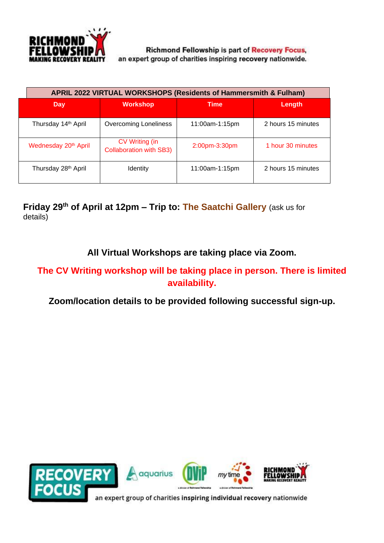

**Richmond Fellowship is part of Recovery Focus,** an expert group of charities inspiring recovery nationwide.

| APRIL 2022 VIRTUAL WORKSHOPS (Residents of Hammersmith & Fulham) |                                                         |                |                    |
|------------------------------------------------------------------|---------------------------------------------------------|----------------|--------------------|
| Day                                                              | <b>Workshop</b>                                         | <b>Time</b>    | Length             |
| Thursday 14 <sup>th</sup> April                                  | <b>Overcoming Loneliness</b>                            | 11:00am-1:15pm | 2 hours 15 minutes |
| Wednesday 20 <sup>th</sup> April                                 | <b>CV Writing (in</b><br><b>Collaboration with SB3)</b> | 2:00pm-3:30pm  | 1 hour 30 minutes  |
| Thursday 28th April                                              | Identity                                                | 11:00am-1:15pm | 2 hours 15 minutes |

**Friday 29 th of April at 12pm – Trip to: The Saatchi Gallery** (ask us for details)

**All Virtual Workshops are taking place via Zoom.**

#### **The CV Writing workshop will be taking place in person. There is limited availability.**

#### **Zoom/location details to be provided following successful sign-up.**

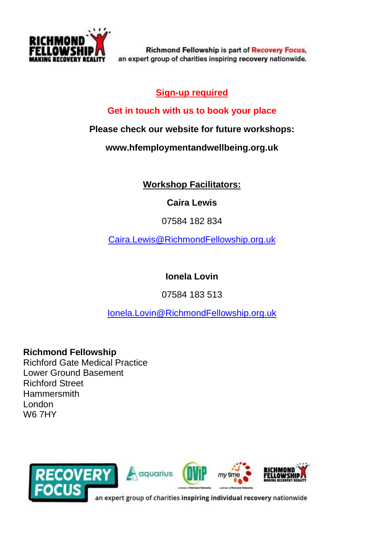

**Richmond Fellowship is part of Recovery Focus,** an expert group of charities inspiring recovery nationwide.

### **Sign-up required**

#### **Get in touch with us to book your place**

**Please check our website for future workshops:**

**www.hfemploymentandwellbeing.org.uk**

## **Workshop Facilitators:**

**Caira Lewis**

07584 182 834

[Caira.Lewis@RichmondFellowship.org.uk](mailto:Caira.Lewis@RichmondFellowship.org.uk)

**Ionela Lovin**

07584 183 513

[Ionela.Lovin@RichmondFellowship.org.uk](mailto:Ionela.Lovin@RichmondFellowship.org.uk)

**Richmond Fellowship**

Richford Gate Medical Practice Lower Ground Basement Richford Street **Hammersmith** London W6 7HY